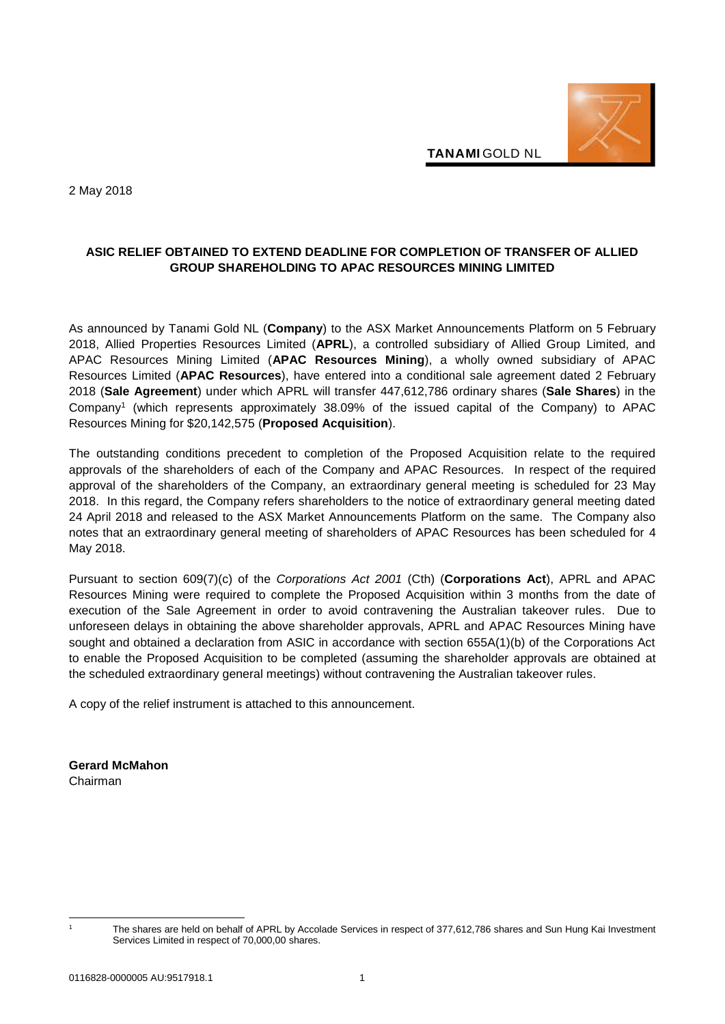

**TANAMI** GOLD NL

2 May 2018

## **ASIC RELIEF OBTAINED TO EXTEND DEADLINE FOR COMPLETION OF TRANSFER OF ALLIED GROUP SHAREHOLDING TO APAC RESOURCES MINING LIMITED**

As announced by Tanami Gold NL (**Company**) to the ASX Market Announcements Platform on 5 February 2018, Allied Properties Resources Limited (**APRL**), a controlled subsidiary of Allied Group Limited, and APAC Resources Mining Limited (**APAC Resources Mining**), a wholly owned subsidiary of APAC Resources Limited (**APAC Resources**), have entered into a conditional sale agreement dated 2 February 2018 (**Sale Agreement**) under which APRL will transfer 447,612,786 ordinary shares (**Sale Shares**) in the Company<sup>1</sup> (which represents approximately 38.09% of the issued capital of the Company) to APAC Resources Mining for \$20,142,575 (**Proposed Acquisition**).

The outstanding conditions precedent to completion of the Proposed Acquisition relate to the required approvals of the shareholders of each of the Company and APAC Resources. In respect of the required approval of the shareholders of the Company, an extraordinary general meeting is scheduled for 23 May 2018. In this regard, the Company refers shareholders to the notice of extraordinary general meeting dated 24 April 2018 and released to the ASX Market Announcements Platform on the same. The Company also notes that an extraordinary general meeting of shareholders of APAC Resources has been scheduled for 4 May 2018.

Pursuant to section 609(7)(c) of the *Corporations Act 2001* (Cth) (**Corporations Act**), APRL and APAC Resources Mining were required to complete the Proposed Acquisition within 3 months from the date of execution of the Sale Agreement in order to avoid contravening the Australian takeover rules. Due to unforeseen delays in obtaining the above shareholder approvals, APRL and APAC Resources Mining have sought and obtained a declaration from ASIC in accordance with section 655A(1)(b) of the Corporations Act to enable the Proposed Acquisition to be completed (assuming the shareholder approvals are obtained at the scheduled extraordinary general meetings) without contravening the Australian takeover rules.

A copy of the relief instrument is attached to this announcement.

**Gerard McMahon**  Chairman

-

The shares are held on behalf of APRL by Accolade Services in respect of 377,612,786 shares and Sun Hung Kai Investment Services Limited in respect of 70,000,00 shares.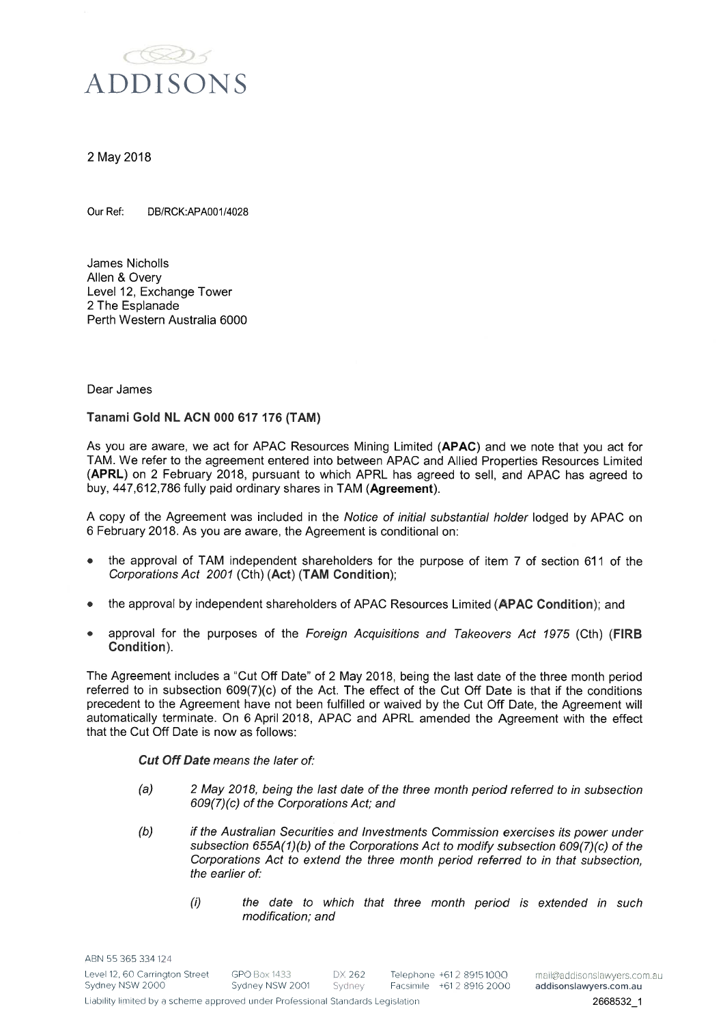

#### 2 May 2018

Our Ref: DB/RCK:APA001/4028

James Nicholls Allen & Overv Level 12, Exchange Tower 2 The Esplanade Perth Western Australia 6000

Dear James

Tanami Gold NL ACN 000 617 176 (TAM)

As you are aware, we act for APAC Resources Mining Limited (APAC) and we note that you act for TAM. We refer to the agreement entered into between APAC and Allied Properties Resources Limited (APRL) on 2 February 2018, pursuant to which APRL has agreed to sell, and APAC has agreed to buy, 447,612,786 fully paid ordinary shares in TAM (Agreement).

A copy of the Agreement was included in the Notice of initial substantial holder lodged by APAC on 6 February 2018. As you are aware, the Agreement is conditional on:

- the approval of TAM independent shareholders for the purpose of item 7 of section 611 of the Corporations Act 2001 (Cth) (Act) (TAM Condition);
- the approval by independent shareholders of APAC Resources Limited (APAC Condition); and
- approval for the purposes of the Foreign Acquisitions and Takeovers Act 1975 (Cth) (FIRB Condition).

The Agreement includes a "Cut Off Date" of 2 May 2018, being the last date of the three month period referred to in subsection 609(7)(c) of the Act. The effect of the Cut Off Date is that if the conditions precedent to the Agreement have not been fulfilled or waived by the Cut Off Date, the Agreement will automatically terminate. On 6 April 2018, APAC and APRL amended the Agreement with the effect that the Cut Off Date is now as follows:

**Cut Off Date means the later of:** 

- $(a)$ 2 May 2018, being the last date of the three month period referred to in subsection 609(7)(c) of the Corporations Act; and
- $(b)$ if the Australian Securities and Investments Commission exercises its power under subsection 655A(1)(b) of the Corporations Act to modify subsection 609(7)(c) of the Corporations Act to extend the three month period referred to in that subsection, the earlier of:
	- the date to which that three month period is extended in such  $(i)$ modification; and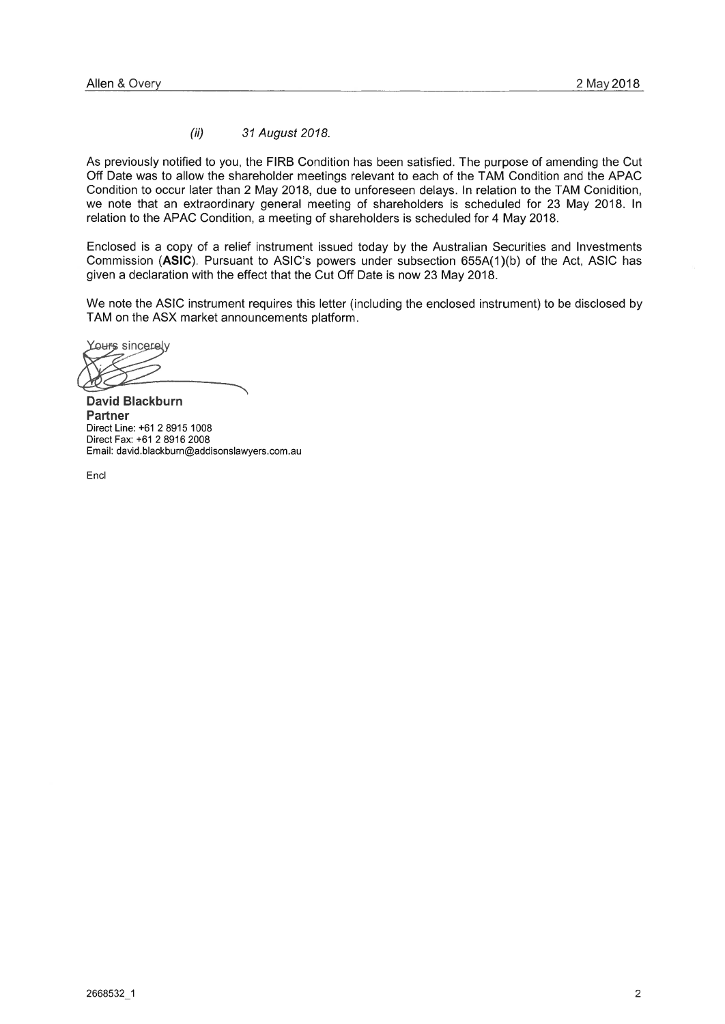#### $(ii)$ 31 August 2018.

As previously notified to you, the FIRB Condition has been satisfied. The purpose of amending the Cut Off Date was to allow the shareholder meetings relevant to each of the TAM Condition and the APAC Condition to occur later than 2 May 2018, due to unforeseen delays. In relation to the TAM Conidition, we note that an extraordinary general meeting of shareholders is scheduled for 23 May 2018. In relation to the APAC Condition, a meeting of shareholders is scheduled for 4 May 2018.

Enclosed is a copy of a relief instrument issued today by the Australian Securities and Investments Commission (ASIC). Pursuant to ASIC's powers under subsection 655A(1)(b) of the Act, ASIC has given a declaration with the effect that the Cut Off Date is now 23 May 2018.

We note the ASIC instrument requires this letter (including the enclosed instrument) to be disclosed by TAM on the ASX market announcements platform.

Yours sincerely

**David Blackburn Partner** Direct Line: +61 2 8915 1008 Direct Fax: +61 2 8916 2008 Email: david.blackburn@addisonslawyers.com.au

Encl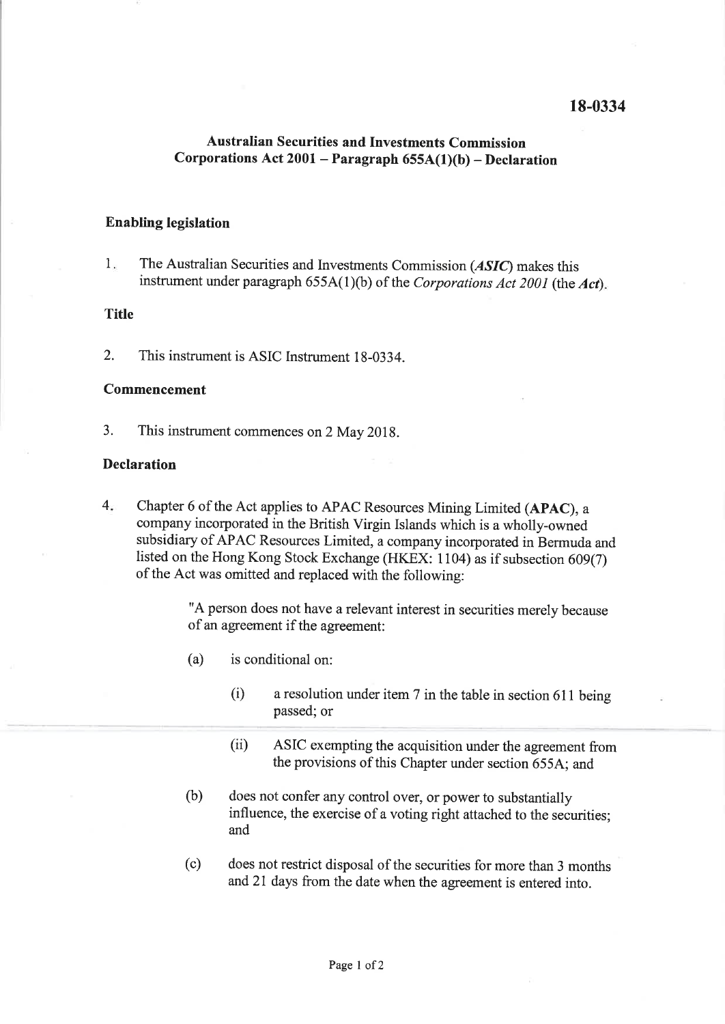# 18-0334

# **Australian Securities and Investments Commission** Corporations Act  $2001$  – Paragraph  $655A(1)(b)$  – Declaration

### **Enabling legislation**

1. The Australian Securities and Investments Commission (ASIC) makes this instrument under paragraph  $655A(1)(b)$  of the Corporations Act 2001 (the Act).

#### **Title**

 $\overline{2}$ . This instrument is ASIC Instrument 18-0334.

#### **Commencement**

 $\overline{3}$ . This instrument commences on 2 May 2018.

#### **Declaration**

 $4.$ Chapter 6 of the Act applies to APAC Resources Mining Limited (APAC), a company incorporated in the British Virgin Islands which is a wholly-owned subsidiary of APAC Resources Limited, a company incorporated in Bermuda and listed on the Hong Kong Stock Exchange (HKEX: 1104) as if subsection 609(7) of the Act was omitted and replaced with the following:

> "A person does not have a relevant interest in securities merely because of an agreement if the agreement:

- is conditional on:  $(a)$ 
	- a resolution under item 7 in the table in section 611 being  $(i)$ passed; or
	- $(ii)$ ASIC exempting the acquisition under the agreement from the provisions of this Chapter under section 655A; and
- $(b)$ does not confer any control over, or power to substantially influence, the exercise of a voting right attached to the securities; and
- $(c)$ does not restrict disposal of the securities for more than 3 months and 21 days from the date when the agreement is entered into.